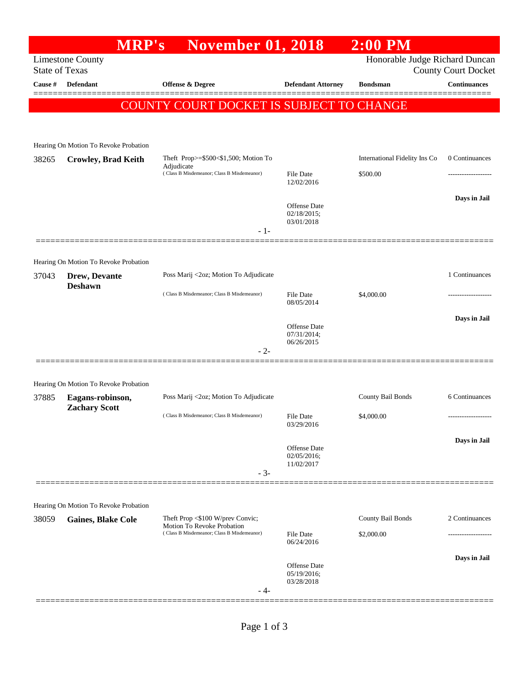## **MRP's November 01, 2018 2:00 PM** Limestone County Honorable Judge Richard Duncan State of Texas County Court Docket **Cause # Defendant Offense & Degree Defendant Attorney Bondsman Continuances** ============================================================================================== COUNTY COURT DOCKET IS SUBJECT TO CHANGE Hearing On Motion To Revoke Probation 38265 **Crowley, Brad Keith** Theft Prop>=\$500<\$1,500; Motion To Adjudicate International Fidelity Ins Co 0 Continuances ( Class B Misdemeanor; Class B Misdemeanor) File Date \$500.00 12/02/2016 **Days in Jail**  Offense Date 02/18/2015; 03/01/2018 - 1- ============================================================================================== Hearing On Motion To Revoke Probation 37043 **Drew, Devante Deshawn** Poss Marij <2oz; Motion To Adjudicate 1 Continuances ( Class B Misdemeanor; Class B Misdemeanor) File Date \$4,000.00 08/05/2014 **Days in Jail**  Offense Date 07/31/2014; 06/26/2015 - 2- ============================================================================================== Hearing On Motion To Revoke Probation 37885 **Eagans-robinson, Zachary Scott** Poss Marij <2oz; Motion To Adjudicate County Bail Bonds 6 Continuances ( Class B Misdemeanor; Class B Misdemeanor) File Date \$4,000.00 03/29/2016 **Days in Jail**  Offense Date 02/05/2016; 11/02/2017 - 3- ============================================================================================== Hearing On Motion To Revoke Probation 38059 **Gaines, Blake Cole** Theft Prop <\$100 W/prev Convic; Motion To Revoke Probation County Bail Bonds 2 Continuances ( Class B Misdemeanor; Class B Misdemeanor) File Date \$2,000.00 06/24/2016 **Days in Jail**  Offense Date 05/19/2016; 03/28/2018 - 4- ==============================================================================================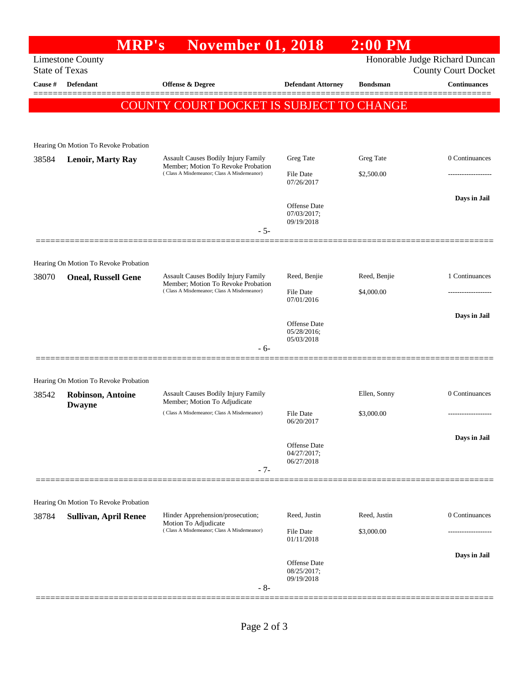## **MRP's November 01, 2018 2:00 PM** Limestone County Honorable Judge Richard Duncan State of Texas County Court Docket **Cause # Defendant Offense & Degree Defendant Attorney Bondsman Continuances** ============================================================================================== COUNTY COURT DOCKET IS SUBJECT TO CHANGE Hearing On Motion To Revoke Probation 38584 **Lenoir, Marty Ray** Assault Causes Bodily Injury Family Member; Motion To Revoke Probation Greg Tate Greg Tate 0 Continuances ( Class A Misdemeanor; Class A Misdemeanor) File Date \$2,500.00 07/26/2017 **Days in Jail**  Offense Date 07/03/2017; 09/19/2018 - 5- ============================================================================================== Hearing On Motion To Revoke Probation 38070 **Oneal, Russell Gene** Assault Causes Bodily Injury Family Member; Motion To Revoke Probation Reed, Benjie Reed, Benjie 1 Continuances ( Class A Misdemeanor; Class A Misdemeanor) File Date \$4,000.00 07/01/2016 **Days in Jail**  Offense Date 05/28/2016; 05/03/2018 - 6- ============================================================================================== Hearing On Motion To Revoke Probation 38542 **Robinson, Antoine Dwayne** Assault Causes Bodily Injury Family Member; Motion To Adjudicate Ellen, Sonny 0 Continuances  $( Class A Misdemeanor; Class A Misdemeanor)$  File Date  $$3,000.00$ 06/20/2017 **Days in Jail**  Offense Date 04/27/2017; 06/27/2018 - 7- ============================================================================================== Hearing On Motion To Revoke Probation 38784 **Sullivan, April Renee** Hinder Apprehension/prosecution; Motion To Adjudicate Reed, Justin Reed, Justin 0 Continuances ( Class A Misdemeanor; Class A Misdemeanor) File Date \$3,000.00 01/11/2018 **Days in Jail**  Offense Date 08/25/2017; 09/19/2018 - 8- ==============================================================================================